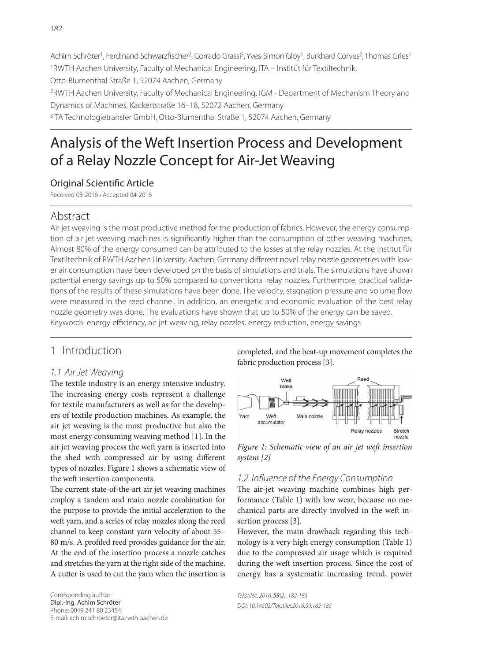Achim Schröter<sup>1</sup>, Ferdinand Schwarzfischer<sup>2</sup>, Corrado Grassi<sup>3</sup>, Yves-Simon Gloy<sup>1</sup>, Burkhard Corves<sup>2</sup>, Thomas Gries<sup>1</sup> 1RWTH Aachen University, Faculty of Mechanical Engineering, ITA – Institüt für Textiltechnik, Otto-Blumenthal Straße 1, 52074 Aachen, Germany 2RWTH Aachen University, Faculty of Mechanical Engineering, IGM - Department of Mechanism Theory and Dynamics of Machines, Kackertstraße 16–18, 52072 Aachen, Germany 3ITA Technologietransfer GmbH, Otto-Blumenthal Straße 1, 52074 Aachen, Germany

# Analysis of the Weft Insertion Process and Development of a Relay Nozzle Concept for Air-Jet Weaving

## **Original Scientific Article**

Received 03-2016 • Accepted 04-2016

# Abstract

Air jet weaving is the most productive method for the production of fabrics. However, the energy consumption of air jet weaving machines is significantly higher than the consumption of other weaving machines. Almost 80% of the energy consumed can be attributed to the losses at the relay nozzles. At the Institut für Textiltechnik of RWTH Aachen University, Aachen, Germany different novel relay nozzle geometries with lower air consumption have been developed on the basis of simulations and trials. The simulations have shown potential energy savings up to 50% compared to conventional relay nozzles. Furthermore, practical validations of the results of these simulations have been done. The velocity, stagnation pressure and volume flow were measured in the reed channel. In addition, an energetic and economic evaluation of the best relay nozzle geometry was done. The evaluations have shown that up to 50% of the energy can be saved. Keywords: energy efficiency, air jet weaving, relay nozzles, energy reduction, energy savings

# 1 Introduction

#### 1.1 Air Jet Weaving

The textile industry is an energy intensive industry. The increasing energy costs represent a challenge for textile manufacturers as well as for the developers of textile production machines. As example, the air jet weaving is the most productive but also the most energy consuming weaving method [1]. In the air jet weaving process the weft yarn is inserted into the shed with compressed air by using different types of nozzles. Figure 1 shows a schematic view of the weft insertion components.

The current state-of-the-art air jet weaving machines employ a tandem and main nozzle combination for the purpose to provide the initial acceleration to the weft yarn, and a series of relay nozzles along the reed channel to keep constant yarn velocity of about 55– 80 m/s. A profiled reed provides guidance for the air. At the end of the insertion process a nozzle catches and stretches the yarn at the right side of the machine. A cutter is used to cut the yarn when the insertion is completed, and the beat-up movement completes the fabric production process [3].



Figure 1: Schematic view of an air jet weft insertion system [2]

#### 1.2 Influence of the Energy Consumption

The air-jet weaving machine combines high performance (Table 1) with low wear, because no mechanical parts are directly involved in the weft insertion process [3].

However, the main drawback regarding this technology is a very high energy consumption (Table 1) due to the compressed air usage which is required during the weft insertion process. Since the cost of energy has a systematic increasing trend, power

Tekstilec, 2016, 59(2), 182-185 DOI: 10.14502/Tekstilec2016.59.182-185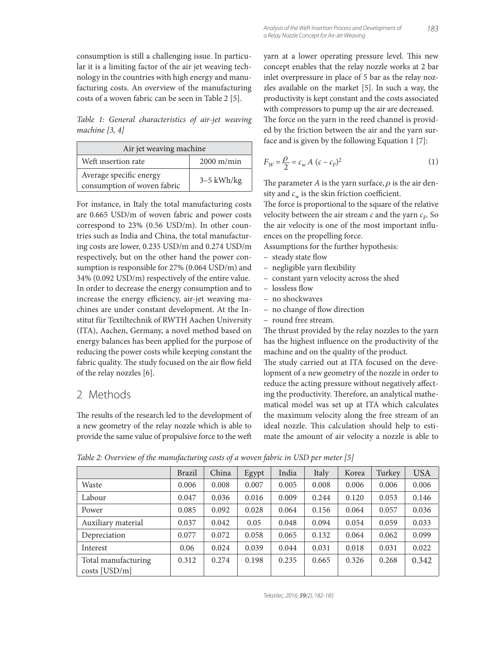consumption is still a challenging issue. In particular it is a limiting factor of the air jet weaving technology in the countries with high energy and manufacturing costs. An overview of the manufacturing costs of a woven fabric can be seen in Table 2 [5].

Table 1: General characteristics of air-jet weaving machine [3, 4]

| Air jet weaving machine                                |              |  |  |  |  |
|--------------------------------------------------------|--------------|--|--|--|--|
| Weft insertion rate                                    | $2000$ m/min |  |  |  |  |
| Average specific energy<br>consumption of woven fabric | $3-5$ kWh/kg |  |  |  |  |

For instance, in Italy the total manufacturing costs are 0.665 USD/m of woven fabric and power costs correspond to 23% (0.56 USD/m). In other countries such as India and China, the total manufacturing costs are lower, 0.235 USD/m and 0.274 USD/m respectively, but on the other hand the power consumption is responsible for 27% (0.064 USD/m) and 34% (0.092 USD/m) respectively of the entire value. In order to decrease the energy consumption and to increase the energy efficiency, air-jet weaving machines are under constant development. At the Institut für Textiltechnik of RWTH Aachen University (ITA), Aachen, Germany, a novel method based on energy balances has been applied for the purpose of reducing the power costs while keeping constant the fabric quality. The study focused on the air flow field of the relay nozzles [6].

## 2 Methods

The results of the research led to the development of a new geometry of the relay nozzle which is able to provide the same value of propulsive force to the weft

yarn at a lower operating pressure level. This new concept enables that the relay nozzle works at 2 bar inlet overpressure in place of 5 bar as the relay nozzles available on the market [5]. In such a way, the productivity is kept constant and the costs associated with compressors to pump up the air are decreased. The force on the yarn in the reed channel is provided by the friction between the air and the yarn surface and is given by the following Equation 1 [7]:

$$
F_W = \frac{\rho}{2} = c_w A (c - c_F)^2
$$
 (1)

The parameter A is the yarn surface,  $\rho$  is the air density and  $c_w$  is the skin friction coefficient.

The force is proportional to the square of the relative velocity between the air stream  $c$  and the yarn  $c_F$ . So the air velocity is one of the most important influences on the propelling force.

Assumptions for the further hypothesis:

- steady state flow
- negligible yarn flexibility
- constant yarn velocity across the shed
- lossless flow
- no shockwaves
- no change of flow direction
- round free stream.

The thrust provided by the relay nozzles to the yarn has the highest influence on the productivity of the machine and on the quality of the product.

The study carried out at ITA focused on the development of a new geometry of the nozzle in order to reduce the acting pressure without negatively affecting the productivity. Therefore, an analytical mathematical model was set up at ITA which calculates the maximum velocity along the free stream of an ideal nozzle. This calculation should help to estimate the amount of air velocity a nozzle is able to

|                     | <b>Brazil</b> | China | Egypt | India | Italy | Korea | Turkey | <b>USA</b> |
|---------------------|---------------|-------|-------|-------|-------|-------|--------|------------|
| Waste               | 0.006         | 0.008 | 0.007 | 0.005 | 0.008 | 0.006 | 0.006  | 0.006      |
| Labour              | 0.047         | 0.036 | 0.016 | 0.009 | 0.244 | 0.120 | 0.053  | 0.146      |
| Power               | 0.085         | 0.092 | 0.028 | 0.064 | 0.156 | 0.064 | 0.057  | 0.036      |
| Auxiliary material  | 0.037         | 0.042 | 0.05  | 0.048 | 0.094 | 0.054 | 0.059  | 0.033      |
| Depreciation        | 0.077         | 0.072 | 0.058 | 0.065 | 0.132 | 0.064 | 0.062  | 0.099      |
| Interest            | 0.06          | 0.024 | 0.039 | 0.044 | 0.031 | 0.018 | 0.031  | 0.022      |
| Total manufacturing | 0.312         | 0.274 | 0.198 | 0.235 | 0.665 | 0.326 | 0.268  | 0.342      |
| $costs$ [USD/m]     |               |       |       |       |       |       |        |            |

Table 2: Overview of the manufacturing costs of a woven fabric in USD per meter [5]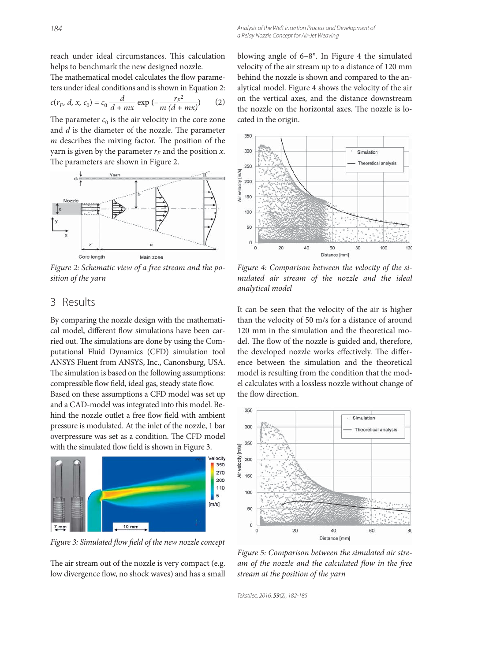reach under ideal circumstances. This calculation helps to benchmark the new designed nozzle.

The mathematical model calculates the flow parameters under ideal conditions and is shown in Equation 2:

$$
c(r_F, d, x, c_0) = c_0 \frac{d}{d + mx} \exp(-\frac{r_F^2}{m(d + mx)})
$$
 (2)

The parameter  $c_0$  is the air velocity in the core zone and  $d$  is the diameter of the nozzle. The parameter  *describes the mixing factor. The position of the* yarn is given by the parameter  $r_F$  and the position x. The parameters are shown in Figure 2.



Figure 2: Schematic view of a free stream and the position of the yarn

### 3 Results

By comparing the nozzle design with the mathematical model, different flow simulations have been carried out. The simulations are done by using the Computational Fluid Dynamics (CFD) simulation tool ANSYS Fluent from ANSYS, Inc., Canonsburg, USA. The simulation is based on the following assumptions: compressible flow field, ideal gas, steady state flow.

Based on these assumptions a CFD model was set up and a CAD-model was integrated into this model. Behind the nozzle outlet a free flow field with ambient pressure is modulated. At the inlet of the nozzle, 1 bar overpressure was set as a condition. The CFD model with the simulated flow field is shown in Figure 3.



Figure 3: Simulated flow field of the new nozzle concept

The air stream out of the nozzle is very compact (e.g. low divergence flow, no shock waves) and has a small blowing angle of 6–8°. In Figure 4 the simulated velocity of the air stream up to a distance of 120 mm behind the nozzle is shown and compared to the analytical model. Figure 4 shows the velocity of the air on the vertical axes, and the distance downstream the nozzle on the horizontal axes. The nozzle is located in the origin.



Figure 4: Comparison between the velocity of the simulated air stream of the nozzle and the ideal analytical model

It can be seen that the velocity of the air is higher than the velocity of 50 m/s for a distance of around 120 mm in the simulation and the theoretical model. The flow of the nozzle is guided and, therefore, the developed nozzle works effectively. The difference between the simulation and the theoretical model is resulting from the condition that the model calculates with a lossless nozzle without change of the flow direction.



Figure 5: Comparison between the simulated air stream of the nozzle and the calculated flow in the free stream at the position of the yarn